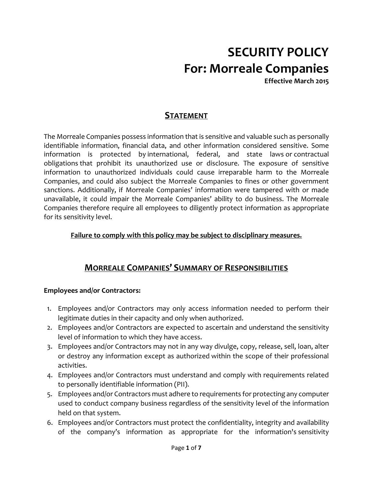# SECURITY POLICY For: Morreale Companies

Effective March 2015

## **STATEMENT**

The Morreale Companies possess information that is sensitive and valuable such as personally identifiable information, financial data, and other information considered sensitive. Some information is protected by international, federal, and state laws or contractual obligations that prohibit its unauthorized use or disclosure. The exposure of sensitive information to unauthorized individuals could cause irreparable harm to the Morreale Companies, and could also subject the Morreale Companies to fines or other government sanctions. Additionally, if Morreale Companies' information were tampered with or made unavailable, it could impair the Morreale Companies' ability to do business. The Morreale Companies therefore require all employees to diligently protect information as appropriate for its sensitivity level.

#### Failure to comply with this policy may be subject to disciplinary measures.

## MORREALE COMPANIES' SUMMARY OF RESPONSIBILITIES

#### Employees and/or Contractors:

- 1. Employees and/or Contractors may only access information needed to perform their legitimate duties in their capacity and only when authorized.
- 2. Employees and/or Contractors are expected to ascertain and understand the sensitivity level of information to which they have access.
- 3. Employees and/or Contractors may not in any way divulge, copy, release, sell, loan, alter or destroy any information except as authorized within the scope of their professional activities.
- 4. Employees and/or Contractors must understand and comply with requirements related to personally identifiable information (PII).
- 5. Employees and/or Contractors must adhere to requirements for protecting any computer used to conduct company business regardless of the sensitivity level of the information held on that system.
- 6. Employees and/or Contractors must protect the confidentiality, integrity and availability of the company's information as appropriate for the information's sensitivity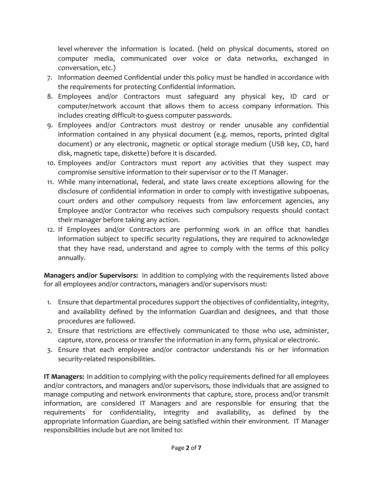level wherever the information is located. (held on physical documents, stored on computer media, communicated over voice or data networks, exchanged in conversation, etc.)

- 7. Information deemed Confidential under this policy must be handled in accordance with the requirements for protecting Confidential Information.
- 8. Employees and/or Contractors must safeguard any physical key, ID card or computer/network account that allows them to access company information. This includes creating difficult-to-guess computer passwords.
- 9. Employees and/or Contractors must destroy or render unusable any confidential information contained in any physical document (e.g. memos, reports, printed digital document) or any electronic, magnetic or optical storage medium (USB key, CD, hard disk, magnetic tape, diskette) before it is discarded.
- 10. Employees and/or Contractors must report any activities that they suspect may compromise sensitive information to their supervisor or to the IT Manager.
- 11. While many international, federal, and state laws create exceptions allowing for the disclosure of confidential information in order to comply with investigative subpoenas, court orders and other compulsory requests from law enforcement agencies, any Employee and/or Contractor who receives such compulsory requests should contact their manager before taking any action.
- 12. If Employees and/or Contractors are performing work in an office that handles information subject to specific security regulations, they are required to acknowledge that they have read, understand and agree to comply with the terms of this policy annually.

Managers and/or Supervisors: In addition to complying with the requirements listed above for all employees and/or contractors, managers and/or supervisors must:

- 1. Ensure that departmental procedures support the objectives of confidentiality, integrity, and availability defined by the Information Guardian and designees, and that those procedures are followed.
- 2. Ensure that restrictions are effectively communicated to those who use, administer, capture, store, process or transfer the information in any form, physical or electronic.
- 3. Ensure that each employee and/or contractor understands his or her information security-related responsibilities.

IT Managers: In addition to complying with the policy requirements defined for all employees and/or contractors, and managers and/or supervisors, those individuals that are assigned to manage computing and network environments that capture, store, process and/or transmit information, are considered IT Managers and are responsible for ensuring that the requirements for confidentiality, integrity and availability, as defined by the appropriate Information Guardian, are being satisfied within their environment. IT Manager responsibilities include but are not limited to: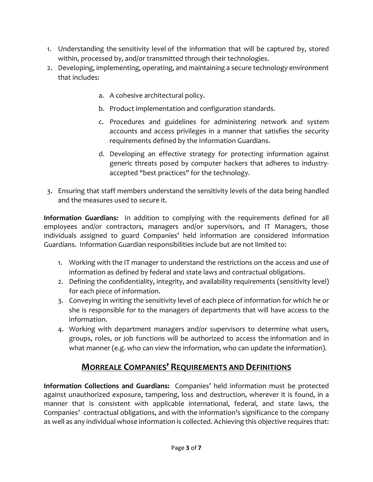- 1. Understanding the sensitivity level of the information that will be captured by, stored within, processed by, and/or transmitted through their technologies.
- 2. Developing, implementing, operating, and maintaining a secure technology environment that includes:
	- a. A cohesive architectural policy.
	- b. Product implementation and configuration standards.
	- c. Procedures and guidelines for administering network and system accounts and access privileges in a manner that satisfies the security requirements defined by the Information Guardians.
	- d. Developing an effective strategy for protecting information against generic threats posed by computer hackers that adheres to industryaccepted "best practices" for the technology.
- 3. Ensuring that staff members understand the sensitivity levels of the data being handled and the measures used to secure it.

Information Guardians: In addition to complying with the requirements defined for all employees and/or contractors, managers and/or supervisors, and IT Managers, those individuals assigned to guard Companies' held information are considered Information Guardians. Information Guardian responsibilities include but are not limited to:

- 1. Working with the IT manager to understand the restrictions on the access and use of information as defined by federal and state laws and contractual obligations.
- 2. Defining the confidentiality, integrity, and availability requirements (sensitivity level) for each piece of information.
- 3. Conveying in writing the sensitivity level of each piece of information for which he or she is responsible for to the managers of departments that will have access to the information.
- 4. Working with department managers and/or supervisors to determine what users, groups, roles, or job functions will be authorized to access the information and in what manner (e.g. who can view the information, who can update the information).

## MORREALE COMPANIES' REQUIREMENTS AND DEFINITIONS

Information Collections and Guardians: Companies' held information must be protected against unauthorized exposure, tampering, loss and destruction, wherever it is found, in a manner that is consistent with applicable international, federal, and state laws, the Companies' contractual obligations, and with the information's significance to the company as well as any individual whose information is collected. Achieving this objective requires that: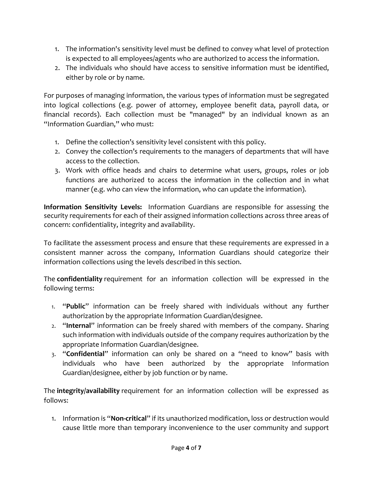- 1. The information's sensitivity level must be defined to convey what level of protection is expected to all employees/agents who are authorized to access the information.
- 2. The individuals who should have access to sensitive information must be identified, either by role or by name.

For purposes of managing information, the various types of information must be segregated into logical collections (e.g. power of attorney, employee benefit data, payroll data, or financial records). Each collection must be "managed" by an individual known as an "Information Guardian," who must:

- 1. Define the collection's sensitivity level consistent with this policy.
- 2. Convey the collection's requirements to the managers of departments that will have access to the collection.
- 3. Work with office heads and chairs to determine what users, groups, roles or job functions are authorized to access the information in the collection and in what manner (e.g. who can view the information, who can update the information).

Information Sensitivity Levels: Information Guardians are responsible for assessing the security requirements for each of their assigned information collections across three areas of concern: confidentiality, integrity and availability.

To facilitate the assessment process and ensure that these requirements are expressed in a consistent manner across the company, Information Guardians should categorize their information collections using the levels described in this section.

The confidentiality requirement for an information collection will be expressed in the following terms:

- 1. "Public" information can be freely shared with individuals without any further authorization by the appropriate Information Guardian/designee.
- 2. "Internal" information can be freely shared with members of the company. Sharing such information with individuals outside of the company requires authorization by the appropriate Information Guardian/designee.
- 3. "Confidential" information can only be shared on a "need to know" basis with individuals who have been authorized by the appropriate Information Guardian/designee, either by job function or by name.

The integrity/availability requirement for an information collection will be expressed as follows:

1. Information is "Non-critical" if its unauthorized modification, loss or destruction would cause little more than temporary inconvenience to the user community and support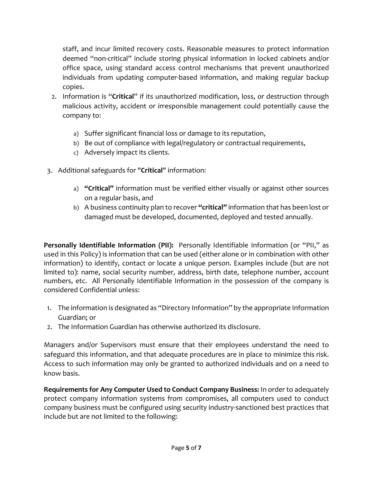staff, and incur limited recovery costs. Reasonable measures to protect information deemed "non-critical" include storing physical information in locked cabinets and/or office space, using standard access control mechanisms that prevent unauthorized individuals from updating computer-based information, and making regular backup copies.

- 2. Information is "Critical" if its unauthorized modification, loss, or destruction through malicious activity, accident or irresponsible management could potentially cause the company to:
	- a) Suffer significant financial loss or damage to its reputation,
	- b) Be out of compliance with legal/regulatory or contractual requirements,
	- c) Adversely impact its clients.
- 3. Additional safeguards for "Critical" information:
	- a) "Critical" information must be verified either visually or against other sources on a regular basis, and
	- b) A business continuity plan to recover "critical" information that has been lost or damaged must be developed, documented, deployed and tested annually.

Personally Identifiable Information (PII): Personally Identifiable Information (or "PII," as used in this Policy) is information that can be used (either alone or in combination with other information) to identify, contact or locate a unique person. Examples include (but are not limited to): name, social security number, address, birth date, telephone number, account numbers, etc. All Personally Identifiable Information in the possession of the company is considered Confidential unless:

- 1. The information is designated as "Directory Information" by the appropriate Information Guardian; or
- 2. The Information Guardian has otherwise authorized its disclosure.

Managers and/or Supervisors must ensure that their employees understand the need to safeguard this information, and that adequate procedures are in place to minimize this risk. Access to such information may only be granted to authorized individuals and on a need to know basis.

Requirements for Any Computer Used to Conduct Company Business: In order to adequately protect company information systems from compromises, all computers used to conduct company business must be configured using security industry-sanctioned best practices that include but are not limited to the following: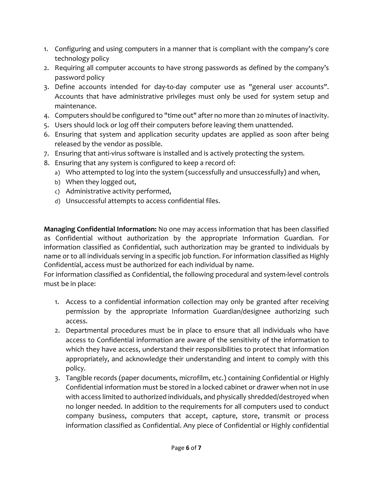- 1. Configuring and using computers in a manner that is compliant with the company's core technology policy
- 2. Requiring all computer accounts to have strong passwords as defined by the company's password policy
- 3. Define accounts intended for day-to-day computer use as "general user accounts". Accounts that have administrative privileges must only be used for system setup and maintenance.
- 4. Computers should be configured to "time out" after no more than 20 minutes of inactivity.
- 5. Users should lock or log off their computers before leaving them unattended.
- 6. Ensuring that system and application security updates are applied as soon after being released by the vendor as possible.
- 7. Ensuring that anti-virus software is installed and is actively protecting the system.
- 8. Ensuring that any system is configured to keep a record of:
	- a) Who attempted to log into the system (successfully and unsuccessfully) and when,
	- b) When they logged out,
	- c) Administrative activity performed,
	- d) Unsuccessful attempts to access confidential files.

Managing Confidential Information: No one may access information that has been classified as Confidential without authorization by the appropriate Information Guardian. For information classified as Confidential, such authorization may be granted to individuals by name or to all individuals serving in a specific job function. For information classified as Highly Confidential, access must be authorized for each individual by name.

For information classified as Confidential, the following procedural and system-level controls must be in place:

- 1. Access to a confidential information collection may only be granted after receiving permission by the appropriate Information Guardian/designee authorizing such access.
- 2. Departmental procedures must be in place to ensure that all individuals who have access to Confidential information are aware of the sensitivity of the information to which they have access, understand their responsibilities to protect that information appropriately, and acknowledge their understanding and intent to comply with this policy.
- 3. Tangible records (paper documents, microfilm, etc.) containing Confidential or Highly Confidential information must be stored in a locked cabinet or drawer when not in use with access limited to authorized individuals, and physically shredded/destroyed when no longer needed. In addition to the requirements for all computers used to conduct company business, computers that accept, capture, store, transmit or process information classified as Confidential. Any piece of Confidential or Highly confidential